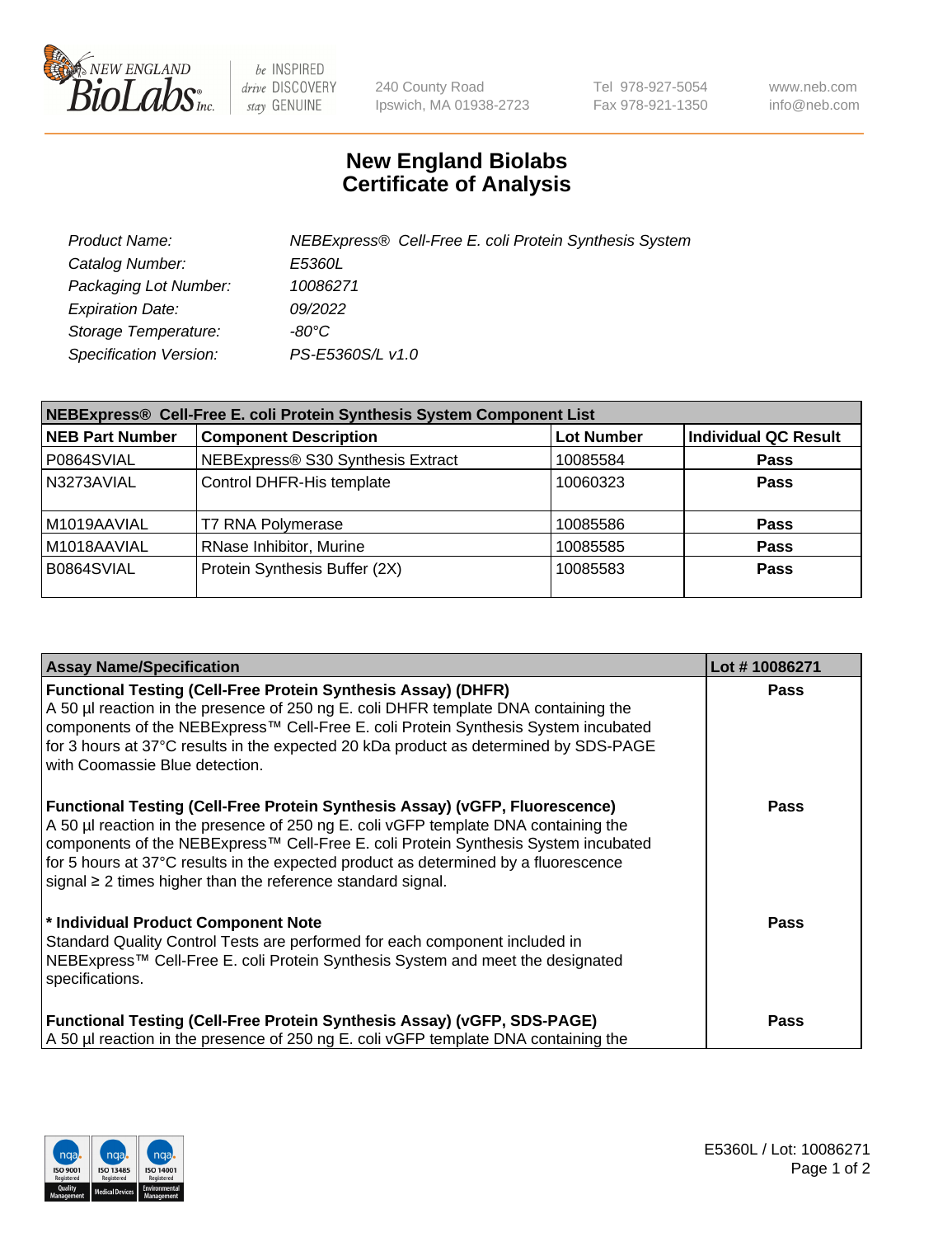

be INSPIRED drive DISCOVERY stay GENUINE

240 County Road Ipswich, MA 01938-2723 Tel 978-927-5054 Fax 978-921-1350 www.neb.com info@neb.com

## **New England Biolabs Certificate of Analysis**

| Product Name:                 | NEBExpress® Cell-Free E. coli Protein Synthesis System |
|-------------------------------|--------------------------------------------------------|
| Catalog Number:               | <i>E5360L</i>                                          |
| Packaging Lot Number:         | 10086271                                               |
| <b>Expiration Date:</b>       | 09/2022                                                |
| Storage Temperature:          | -80°C.                                                 |
| <b>Specification Version:</b> | PS-E5360S/L v1.0                                       |

| NEBExpress® Cell-Free E. coli Protein Synthesis System Component List |                                   |                   |                             |  |
|-----------------------------------------------------------------------|-----------------------------------|-------------------|-----------------------------|--|
| <b>NEB Part Number</b>                                                | <b>Component Description</b>      | <b>Lot Number</b> | <b>Individual QC Result</b> |  |
| P0864SVIAL                                                            | NEBExpress® S30 Synthesis Extract | 10085584          | <b>Pass</b>                 |  |
| N3273AVIAL                                                            | Control DHFR-His template         | 10060323          | <b>Pass</b>                 |  |
| M1019AAVIAL                                                           | <b>T7 RNA Polymerase</b>          | 10085586          | <b>Pass</b>                 |  |
| M1018AAVIAL                                                           | RNase Inhibitor, Murine           | 10085585          | <b>Pass</b>                 |  |
| B0864SVIAL                                                            | Protein Synthesis Buffer (2X)     | 10085583          | Pass                        |  |

| <b>Assay Name/Specification</b>                                                                                                                                                                                                                                                                                                                                                                                            | Lot #10086271 |
|----------------------------------------------------------------------------------------------------------------------------------------------------------------------------------------------------------------------------------------------------------------------------------------------------------------------------------------------------------------------------------------------------------------------------|---------------|
| <b>Functional Testing (Cell-Free Protein Synthesis Assay) (DHFR)</b><br>A 50 µl reaction in the presence of 250 ng E. coli DHFR template DNA containing the<br>components of the NEBExpress™ Cell-Free E. coli Protein Synthesis System incubated<br>for 3 hours at 37°C results in the expected 20 kDa product as determined by SDS-PAGE<br>with Coomassie Blue detection.                                                | Pass          |
| <b>Functional Testing (Cell-Free Protein Synthesis Assay) (vGFP, Fluorescence)</b><br>A 50 µl reaction in the presence of 250 ng E. coli vGFP template DNA containing the<br>components of the NEBExpress™ Cell-Free E. coli Protein Synthesis System incubated<br>for 5 hours at 37°C results in the expected product as determined by a fluorescence<br>signal $\geq$ 2 times higher than the reference standard signal. | <b>Pass</b>   |
| * Individual Product Component Note<br>Standard Quality Control Tests are performed for each component included in<br>NEBExpress™ Cell-Free E. coli Protein Synthesis System and meet the designated<br>specifications.                                                                                                                                                                                                    | Pass          |
| <b>Functional Testing (Cell-Free Protein Synthesis Assay) (vGFP, SDS-PAGE)</b><br>A 50 µl reaction in the presence of 250 ng E. coli vGFP template DNA containing the                                                                                                                                                                                                                                                      | Pass          |